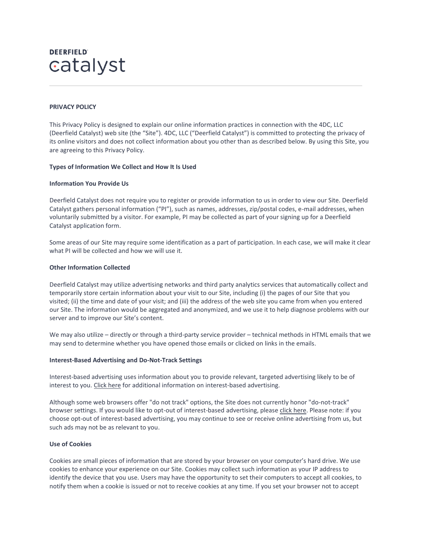# **DEERFIELD** catalyst

# **PRIVACY POLICY**

This Privacy Policy is designed to explain our online information practices in connection with the 4DC, LLC (Deerfield Catalyst) web site (the "Site"). 4DC, LLC ("Deerfield Catalyst") is committed to protecting the privacy of its online visitors and does not collect information about you other than as described below. By using this Site, you are agreeing to this Privacy Policy.

# **Types of Information We Collect and How It Is Used**

# **Information You Provide Us**

Deerfield Catalyst does not require you to register or provide information to us in order to view our Site. Deerfield Catalyst gathers personal information ("PI"), such as names, addresses, zip/postal codes, e-mail addresses, when voluntarily submitted by a visitor. For example, PI may be collected as part of your signing up for a Deerfield Catalyst application form.

Some areas of our Site may require some identification as a part of participation. In each case, we will make it clear what PI will be collected and how we will use it.

## **Other Information Collected**

Deerfield Catalyst may utilize advertising networks and third party analytics services that automatically collect and temporarily store certain information about your visit to our Site, including (i) the pages of our Site that you visited; (ii) the time and date of your visit; and (iii) the address of the web site you came from when you entered our Site. The information would be aggregated and anonymized, and we use it to help diagnose problems with our server and to improve our Site's content.

We may also utilize – directly or through a third-party service provider – technical methods in HTML emails that we may send to determine whether you have opened those emails or clicked on links in the emails.

## **Interest-Based Advertising and Do-Not-Track Settings**

Interest-based advertising uses information about you to provide relevant, targeted advertising likely to be of interest to you. [Click here](http://www.aboutads.info/consumers) for additional information on interest-based advertising.

Although some web browsers offer "do not track" options, the Site does not currently honor "do-not-track" browser settings. If you would like to opt-out of interest-based advertising, please [click here.](http://optout.aboutads.info/?c=2&lang=EN) Please note: if you choose opt-out of interest-based advertising, you may continue to see or receive online advertising from us, but such ads may not be as relevant to you.

## **Use of Cookies**

Cookies are small pieces of information that are stored by your browser on your computer's hard drive. We use cookies to enhance your experience on our Site. Cookies may collect such information as your IP address to identify the device that you use. Users may have the opportunity to set their computers to accept all cookies, to notify them when a cookie is issued or not to receive cookies at any time. If you set your browser not to accept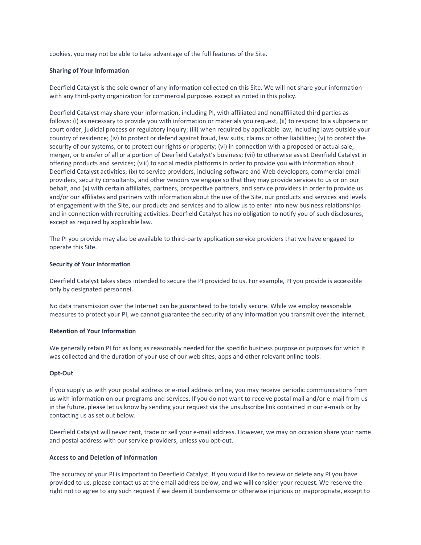cookies, you may not be able to take advantage of the full features of the Site.

## **Sharing of Your Information**

Deerfield Catalyst is the sole owner of any information collected on this Site. We will not share your information with any third-party organization for commercial purposes except as noted in this policy.

Deerfield Catalyst may share your information, including PI, with affiliated and nonaffiliated third parties as follows: (i) as necessary to provide you with information or materials you request, (ii) to respond to a subpoena or court order, judicial process or regulatory inquiry; (iii) when required by applicable law, including laws outside your country of residence; (iv) to protect or defend against fraud, law suits, claims or other liabilities; (v) to protect the security of our systems, or to protect our rights or property; (vi) in connection with a proposed or actual sale, merger, or transfer of all or a portion of Deerfield Catalyst's business; (vii) to otherwise assist Deerfield Catalyst in offering products and services; (viii) to social media platforms in order to provide you with information about Deerfield Catalyst activities; (ix) to service providers, including software and Web developers, commercial email providers, security consultants, and other vendors we engage so that they may provide services to us or on our behalf, and (x) with certain affiliates, partners, prospective partners, and service providers in order to provide us and/or our affiliates and partners with information about the use of the Site, our products and services and levels of engagement with the Site, our products and services and to allow us to enter into new business relationships and in connection with recruiting activities. Deerfield Catalyst has no obligation to notify you of such disclosures, except as required by applicable law.

The PI you provide may also be available to third-party application service providers that we have engaged to operate this Site.

#### **Security of Your Information**

Deerfield Catalyst takes steps intended to secure the PI provided to us. For example, PI you provide is accessible only by designated personnel.

No data transmission over the Internet can be guaranteed to be totally secure. While we employ reasonable measures to protect your PI, we cannot guarantee the security of any information you transmit over the internet.

#### **Retention of Your Information**

We generally retain PI for as long as reasonably needed for the specific business purpose or purposes for which it was collected and the duration of your use of our web sites, apps and other relevant online tools.

## **Opt-Out**

If you supply us with your postal address or e-mail address online, you may receive periodic communications from us with information on our programs and services. If you do not want to receive postal mail and/or e-mail from us in the future, please let us know by sending your request via the unsubscribe link contained in our e-mails or by contacting us as set out below.

Deerfield Catalyst will never rent, trade or sell your e-mail address. However, we may on occasion share your name and postal address with our service providers, unless you opt-out.

## **Access to and Deletion of Information**

The accuracy of your PI is important to Deerfield Catalyst. If you would like to review or delete any PI you have provided to us, please contact us at the email address below, and we will consider your request. We reserve the right not to agree to any such request if we deem it burdensome or otherwise injurious or inappropriate, except to